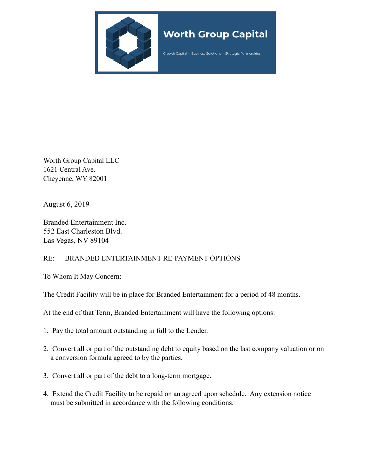

## **Worth Group Capital**

Growth Capital -- Business Solutions -- Strategic Partnerships

Worth Group Capital LLC 1621 Central Ave. Cheyenne, WY 82001

August 6, 2019

Branded Entertainment Inc. 552 East Charleston Blvd. Las Vegas, NV 89104

## RE: BRANDED ENTERTAINMENT RE-PAYMENT OPTIONS

To Whom It May Concern:

The Credit Facility will be in place for Branded Entertainment for a period of 48 months.

At the end of that Term, Branded Entertainment will have the following options:

- 1. Pay the total amount outstanding in full to the Lender.
- 2. Convert all or part of the outstanding debt to equity based on the last company valuation or on a conversion formula agreed to by the parties.
- 3. Convert all or part of the debt to a long-term mortgage.
- 4. Extend the Credit Facility to be repaid on an agreed upon schedule. Any extension notice must be submitted in accordance with the following conditions.